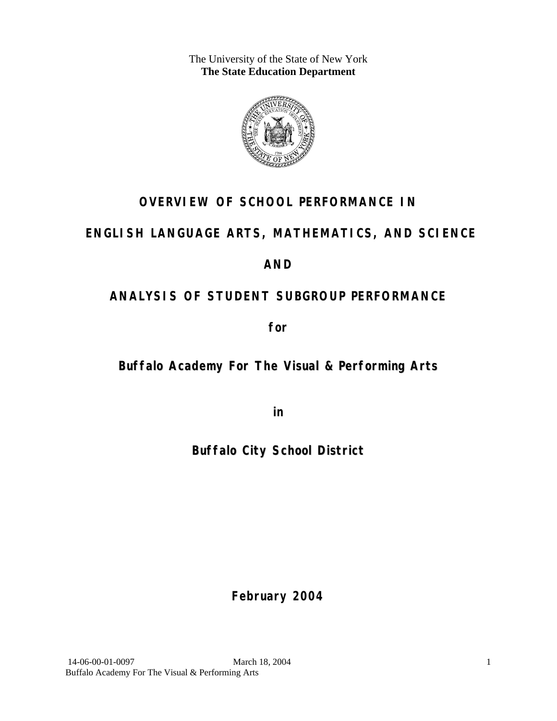The University of the State of New York **The State Education Department** 



# **OVERVIEW OF SCHOOL PERFORMANCE IN**

# **ENGLISH LANGUAGE ARTS, MATHEMATICS, AND SCIENCE**

# **AND**

# **ANALYSIS OF STUDENT SUBGROUP PERFORMANCE**

**for** 

# **Buffalo Academy For The Visual & Performing Arts**

**in** 

# **Buffalo City School District**

**February 2004**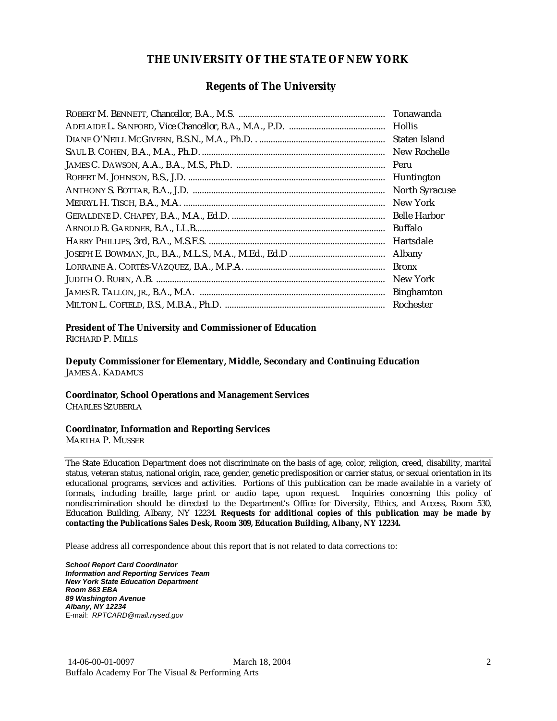### **THE UNIVERSITY OF THE STATE OF NEW YORK**

### **Regents of The University**

| Tonawanda             |
|-----------------------|
| <b>Hollis</b>         |
| Staten Island         |
| New Rochelle          |
| Peru                  |
| Huntington            |
| <b>North Syracuse</b> |
| New York              |
| <b>Belle Harbor</b>   |
| <b>Buffalo</b>        |
| Hartsdale             |
| Albany                |
| <b>Bronx</b>          |
| New York              |
| <b>Binghamton</b>     |
| Rochester             |

#### **President of The University and Commissioner of Education**

RICHARD P. MILLS

**Deputy Commissioner for Elementary, Middle, Secondary and Continuing Education**  JAMES A. KADAMUS

### **Coordinator, School Operations and Management Services**

CHARLES SZUBERLA

#### **Coordinator, Information and Reporting Services**

MARTHA P. MUSSER

The State Education Department does not discriminate on the basis of age, color, religion, creed, disability, marital status, veteran status, national origin, race, gender, genetic predisposition or carrier status, or sexual orientation in its educational programs, services and activities. Portions of this publication can be made available in a variety of formats, including braille, large print or audio tape, upon request. Inquiries concerning this policy of nondiscrimination should be directed to the Department's Office for Diversity, Ethics, and Access, Room 530, Education Building, Albany, NY 12234. **Requests for additional copies of this publication may be made by contacting the Publications Sales Desk, Room 309, Education Building, Albany, NY 12234.** 

Please address all correspondence about this report that is not related to data corrections to:

*School Report Card Coordinator Information and Reporting Services Team New York State Education Department Room 863 EBA 89 Washington Avenue Albany, NY 12234*  E-mail: *RPTCARD@mail.nysed.gov*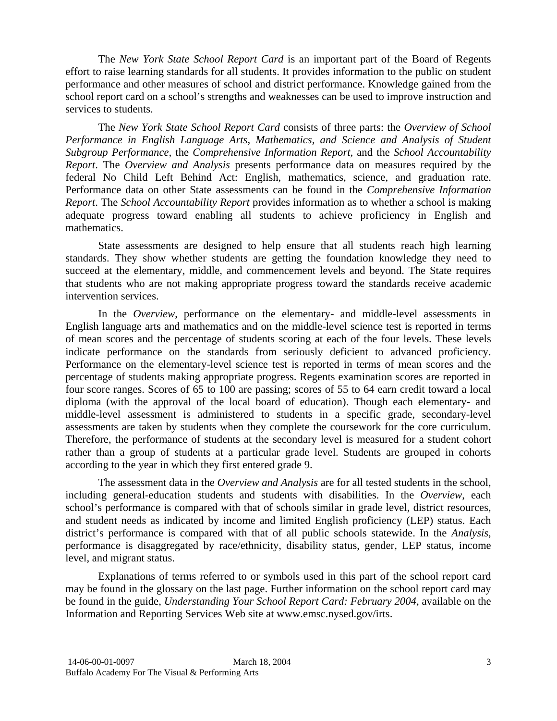The *New York State School Report Card* is an important part of the Board of Regents effort to raise learning standards for all students. It provides information to the public on student performance and other measures of school and district performance. Knowledge gained from the school report card on a school's strengths and weaknesses can be used to improve instruction and services to students.

The *New York State School Report Card* consists of three parts: the *Overview of School Performance in English Language Arts, Mathematics, and Science and Analysis of Student Subgroup Performance,* the *Comprehensive Information Report,* and the *School Accountability Report*. The *Overview and Analysis* presents performance data on measures required by the federal No Child Left Behind Act: English, mathematics, science, and graduation rate. Performance data on other State assessments can be found in the *Comprehensive Information Report*. The *School Accountability Report* provides information as to whether a school is making adequate progress toward enabling all students to achieve proficiency in English and mathematics.

State assessments are designed to help ensure that all students reach high learning standards. They show whether students are getting the foundation knowledge they need to succeed at the elementary, middle, and commencement levels and beyond. The State requires that students who are not making appropriate progress toward the standards receive academic intervention services.

In the *Overview*, performance on the elementary- and middle-level assessments in English language arts and mathematics and on the middle-level science test is reported in terms of mean scores and the percentage of students scoring at each of the four levels. These levels indicate performance on the standards from seriously deficient to advanced proficiency. Performance on the elementary-level science test is reported in terms of mean scores and the percentage of students making appropriate progress. Regents examination scores are reported in four score ranges. Scores of 65 to 100 are passing; scores of 55 to 64 earn credit toward a local diploma (with the approval of the local board of education). Though each elementary- and middle-level assessment is administered to students in a specific grade, secondary-level assessments are taken by students when they complete the coursework for the core curriculum. Therefore, the performance of students at the secondary level is measured for a student cohort rather than a group of students at a particular grade level. Students are grouped in cohorts according to the year in which they first entered grade 9.

The assessment data in the *Overview and Analysis* are for all tested students in the school, including general-education students and students with disabilities. In the *Overview*, each school's performance is compared with that of schools similar in grade level, district resources, and student needs as indicated by income and limited English proficiency (LEP) status. Each district's performance is compared with that of all public schools statewide. In the *Analysis*, performance is disaggregated by race/ethnicity, disability status, gender, LEP status, income level, and migrant status.

Explanations of terms referred to or symbols used in this part of the school report card may be found in the glossary on the last page. Further information on the school report card may be found in the guide, *Understanding Your School Report Card: February 2004*, available on the Information and Reporting Services Web site at www.emsc.nysed.gov/irts.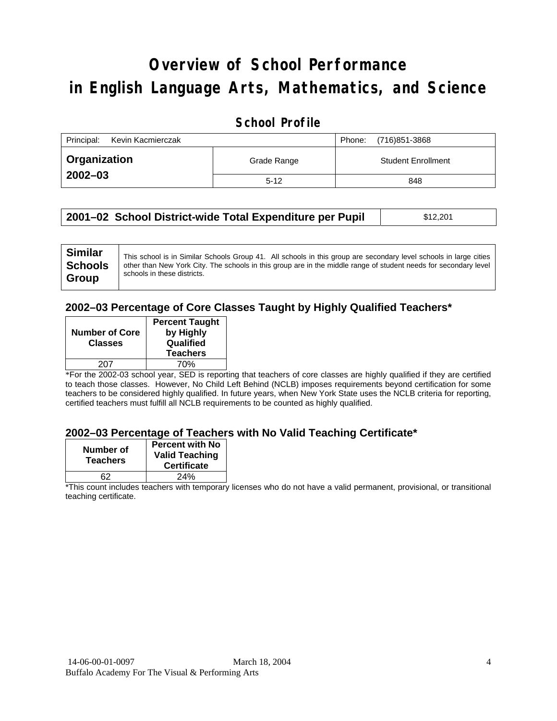# **Overview of School Performance in English Language Arts, Mathematics, and Science**

### **School Profile**

| Principal:<br>Kevin Kacmierczak |             | (716)851-3868<br>Phone:   |
|---------------------------------|-------------|---------------------------|
| ∣ Organization                  | Grade Range | <b>Student Enrollment</b> |
| $2002 - 03$                     | $5 - 12$    | 848                       |

| 2001–02 School District-wide Total Expenditure per Pupil<br>\$12,201 |  |
|----------------------------------------------------------------------|--|
|----------------------------------------------------------------------|--|

### **2002–03 Percentage of Core Classes Taught by Highly Qualified Teachers\***

| <b>Number of Core</b><br><b>Classes</b> | <b>Percent Taught</b><br>by Highly<br>Qualified<br><b>Teachers</b> |
|-----------------------------------------|--------------------------------------------------------------------|
|                                         |                                                                    |
| 207                                     | 70%                                                                |
|                                         |                                                                    |

\*For the 2002-03 school year, SED is reporting that teachers of core classes are highly qualified if they are certified to teach those classes. However, No Child Left Behind (NCLB) imposes requirements beyond certification for some teachers to be considered highly qualified. In future years, when New York State uses the NCLB criteria for reporting, certified teachers must fulfill all NCLB requirements to be counted as highly qualified.

#### **2002–03 Percentage of Teachers with No Valid Teaching Certificate\***

| Number of<br><b>Teachers</b> | <b>Percent with No</b><br><b>Valid Teaching</b><br><b>Certificate</b> |
|------------------------------|-----------------------------------------------------------------------|
| 62                           | 24%                                                                   |

\*This count includes teachers with temporary licenses who do not have a valid permanent, provisional, or transitional teaching certificate.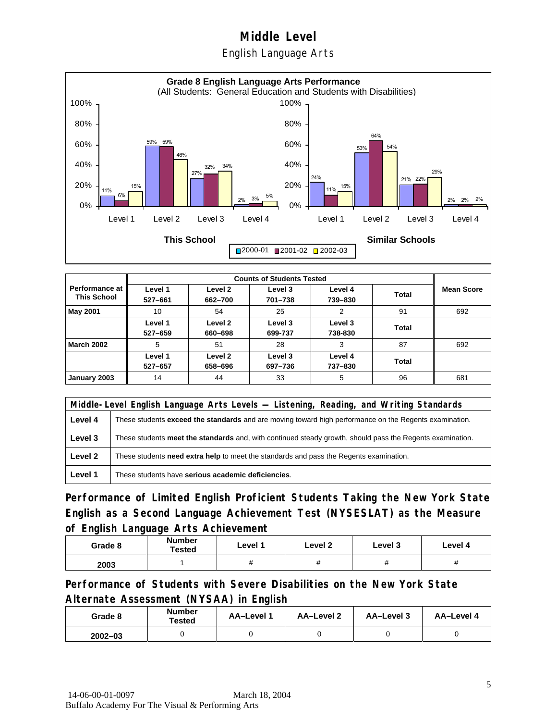### English Language Arts



| Performance at<br><b>This School</b> | Level 1<br>527-661 | Level 2<br>662-700 | Level 3<br>701-738 | Level 4<br>739-830 | <b>Total</b> | <b>Mean Score</b> |
|--------------------------------------|--------------------|--------------------|--------------------|--------------------|--------------|-------------------|
| May 2001                             | 10                 | 54                 | 25                 | 2                  | 91           | 692               |
|                                      | Level 1<br>527-659 | Level 2<br>660-698 | Level 3<br>699-737 | Level 3<br>738-830 | <b>Total</b> |                   |
| <b>March 2002</b>                    | 5                  | 51                 | 28                 | 3                  | 87           | 692               |
|                                      | Level 1<br>527-657 | Level 2<br>658-696 | Level 3<br>697-736 | Level 4<br>737-830 | <b>Total</b> |                   |
| January 2003                         | 14                 | 44                 | 33                 | 5                  | 96           | 681               |

|         | Middle-Level English Language Arts Levels — Listening, Reading, and Writing Standards                         |  |  |
|---------|---------------------------------------------------------------------------------------------------------------|--|--|
| Level 4 | These students <b>exceed the standards</b> and are moving toward high performance on the Regents examination. |  |  |
| Level 3 | These students meet the standards and, with continued steady growth, should pass the Regents examination.     |  |  |
| Level 2 | These students need extra help to meet the standards and pass the Regents examination.                        |  |  |
| Level 1 | These students have serious academic deficiencies.                                                            |  |  |

**Performance of Limited English Proficient Students Taking the New York State English as a Second Language Achievement Test (NYSESLAT) as the Measure of English Language Arts Achievement**

| Grade 8 | Number<br>Tested | Level 1 | Level 2  | Level 3  | Level 4  |
|---------|------------------|---------|----------|----------|----------|
| 2003    |                  | Ħ       | $^{\pi}$ | $^{\pi}$ | $^{\pi}$ |

**Performance of Students with Severe Disabilities on the New York State Alternate Assessment (NYSAA) in English** 

| Grade 8     | <b>Number</b><br>Tested | AA-Level 1 | AA-Level 2 | AA-Level 3 | AA-Level 4 |
|-------------|-------------------------|------------|------------|------------|------------|
| $2002 - 03$ |                         |            |            |            |            |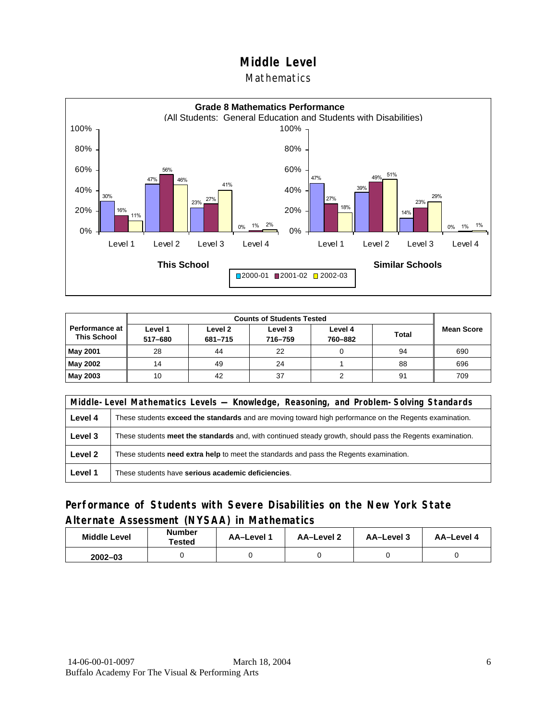### Mathematics



|                                      | <b>Counts of Students Tested</b> |                    |                    |                    |              |                   |
|--------------------------------------|----------------------------------|--------------------|--------------------|--------------------|--------------|-------------------|
| Performance at<br><b>This School</b> | Level 1<br>517-680               | Level 2<br>681-715 | Level 3<br>716-759 | Level 4<br>760-882 | <b>Total</b> | <b>Mean Score</b> |
| <b>May 2001</b>                      | 28                               | 44                 | 22                 |                    | 94           | 690               |
| May 2002                             | 14                               | 49                 | 24                 |                    | 88           | 696               |
| May 2003                             | 10                               | 42                 | 37                 |                    | 91           | 709               |

|         | Middle-Level Mathematics Levels — Knowledge, Reasoning, and Problem-Solving Standards                     |  |  |
|---------|-----------------------------------------------------------------------------------------------------------|--|--|
| Level 4 | These students exceed the standards and are moving toward high performance on the Regents examination.    |  |  |
| Level 3 | These students meet the standards and, with continued steady growth, should pass the Regents examination. |  |  |
| Level 2 | These students <b>need extra help</b> to meet the standards and pass the Regents examination.             |  |  |
| Level 1 | These students have serious academic deficiencies.                                                        |  |  |

### **Performance of Students with Severe Disabilities on the New York State Alternate Assessment (NYSAA) in Mathematics**

| <b>Middle Level</b> | <b>Number</b><br>Tested | AA-Level 1 | AA-Level 2 | AA-Level 3 | AA-Level 4 |  |
|---------------------|-------------------------|------------|------------|------------|------------|--|
| $2002 - 03$         |                         |            |            |            |            |  |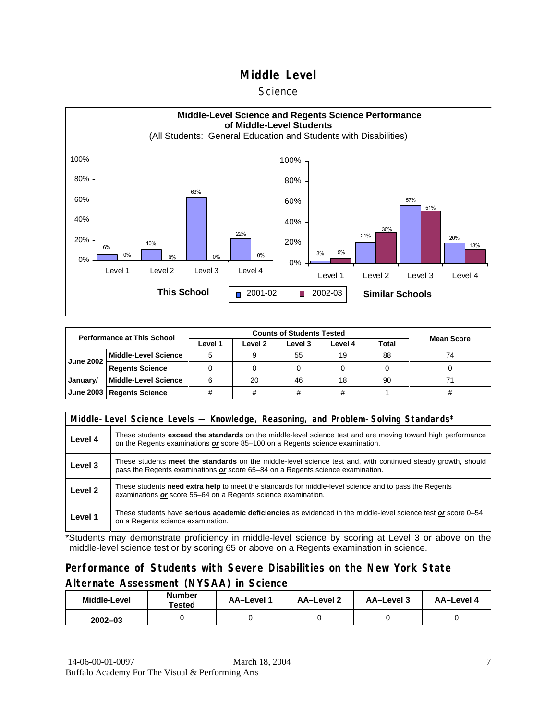#### **Science**



| <b>Performance at This School</b> |                             |         | <b>Counts of Students Tested</b> | <b>Mean Score</b> |         |       |    |
|-----------------------------------|-----------------------------|---------|----------------------------------|-------------------|---------|-------|----|
|                                   |                             | Level 1 | Level 2                          | Level 3           | Level 4 | Total |    |
| <b>June 2002</b>                  | <b>Middle-Level Science</b> |         |                                  | 55                | 19      | 88    | 74 |
|                                   | <b>Regents Science</b>      |         |                                  |                   |         |       |    |
| January/                          | <b>Middle-Level Science</b> | 6       | 20                               | 46                | 18      | 90    |    |
|                                   | June 2003   Regents Science |         |                                  |                   | #       |       |    |

|         | Middle-Level Science Levels — Knowledge, Reasoning, and Problem-Solving Standards*                                                                                                                  |  |  |  |  |  |  |  |
|---------|-----------------------------------------------------------------------------------------------------------------------------------------------------------------------------------------------------|--|--|--|--|--|--|--|
| Level 4 | These students <b>exceed the standards</b> on the middle-level science test and are moving toward high performance<br>on the Regents examinations or score 85–100 on a Regents science examination. |  |  |  |  |  |  |  |
| Level 3 | These students meet the standards on the middle-level science test and, with continued steady growth, should<br>pass the Regents examinations or score 65–84 on a Regents science examination.      |  |  |  |  |  |  |  |
| Level 2 | These students need extra help to meet the standards for middle-level science and to pass the Regents<br>examinations or score 55–64 on a Regents science examination.                              |  |  |  |  |  |  |  |
| Level 1 | These students have serious academic deficiencies as evidenced in the middle-level science test or score 0–54<br>on a Regents science examination.                                                  |  |  |  |  |  |  |  |

\*Students may demonstrate proficiency in middle-level science by scoring at Level 3 or above on the middle-level science test or by scoring 65 or above on a Regents examination in science.

### **Performance of Students with Severe Disabilities on the New York State Alternate Assessment (NYSAA) in Science**

| Middle-Level | <b>Number</b><br>Tested | AA–Level 1 | AA-Level 2 | AA-Level 3 | AA-Level 4 |  |
|--------------|-------------------------|------------|------------|------------|------------|--|
| $2002 - 03$  |                         |            |            |            |            |  |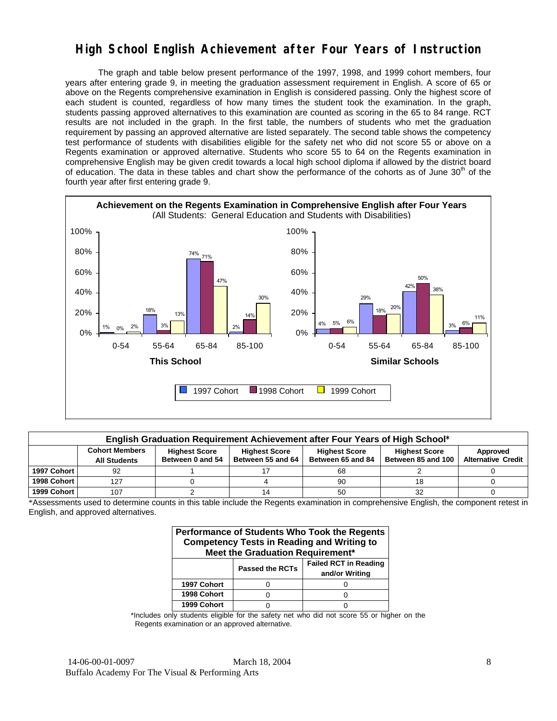## **High School English Achievement after Four Years of Instruction**

The graph and table below present performance of the 1997, 1998, and 1999 cohort members, four years after entering grade 9, in meeting the graduation assessment requirement in English. A score of 65 or above on the Regents comprehensive examination in English is considered passing. Only the highest score of each student is counted, regardless of how many times the student took the examination. In the graph, students passing approved alternatives to this examination are counted as scoring in the 65 to 84 range. RCT results are not included in the graph. In the first table, the numbers of students who met the graduation requirement by passing an approved alternative are listed separately. The second table shows the competency test performance of students with disabilities eligible for the safety net who did not score 55 or above on a Regents examination or approved alternative. Students who score 55 to 64 on the Regents examination in comprehensive English may be given credit towards a local high school diploma if allowed by the district board of education. The data in these tables and chart show the performance of the cohorts as of June  $30<sup>th</sup>$  of the fourth year after first entering grade 9.



|             | English Graduation Requirement Achievement after Four Years of High School*                                                                                                                                                                                               |  |  |    |    |  |  |  |  |  |  |  |  |
|-------------|---------------------------------------------------------------------------------------------------------------------------------------------------------------------------------------------------------------------------------------------------------------------------|--|--|----|----|--|--|--|--|--|--|--|--|
|             | <b>Cohort Members</b><br><b>Highest Score</b><br><b>Highest Score</b><br><b>Highest Score</b><br><b>Highest Score</b><br>Approved<br>Between 55 and 64<br><b>Alternative Credit</b><br>Between 0 and 54<br>Between 65 and 84<br>Between 85 and 100<br><b>All Students</b> |  |  |    |    |  |  |  |  |  |  |  |  |
| 1997 Cohort | 92                                                                                                                                                                                                                                                                        |  |  | 68 |    |  |  |  |  |  |  |  |  |
| 1998 Cohort | 127                                                                                                                                                                                                                                                                       |  |  | 90 |    |  |  |  |  |  |  |  |  |
| 1999 Cohort | 107                                                                                                                                                                                                                                                                       |  |  | 50 | 32 |  |  |  |  |  |  |  |  |

\*Assessments used to determine counts in this table include the Regents examination in comprehensive English, the component retest in English, and approved alternatives.

| Performance of Students Who Took the Regents<br><b>Competency Tests in Reading and Writing to</b><br>Meet the Graduation Requirement* |  |  |  |  |  |  |  |  |
|---------------------------------------------------------------------------------------------------------------------------------------|--|--|--|--|--|--|--|--|
| <b>Failed RCT in Reading</b><br><b>Passed the RCTs</b><br>and/or Writing                                                              |  |  |  |  |  |  |  |  |
| 1997 Cohort                                                                                                                           |  |  |  |  |  |  |  |  |
| 1998 Cohort                                                                                                                           |  |  |  |  |  |  |  |  |
| 1999 Cohort                                                                                                                           |  |  |  |  |  |  |  |  |

\*Includes only students eligible for the safety net who did not score 55 or higher on the Regents examination or an approved alternative.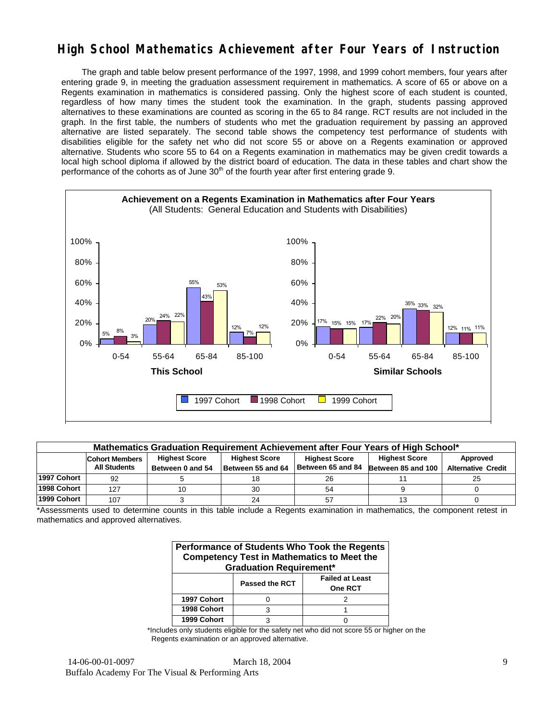## **High School Mathematics Achievement after Four Years of Instruction**

The graph and table below present performance of the 1997, 1998, and 1999 cohort members, four years after entering grade 9, in meeting the graduation assessment requirement in mathematics. A score of 65 or above on a Regents examination in mathematics is considered passing. Only the highest score of each student is counted, regardless of how many times the student took the examination. In the graph, students passing approved alternatives to these examinations are counted as scoring in the 65 to 84 range. RCT results are not included in the graph. In the first table, the numbers of students who met the graduation requirement by passing an approved alternative are listed separately. The second table shows the competency test performance of students with disabilities eligible for the safety net who did not score 55 or above on a Regents examination or approved alternative. Students who score 55 to 64 on a Regents examination in mathematics may be given credit towards a local high school diploma if allowed by the district board of education. The data in these tables and chart show the performance of the cohorts as of June  $30<sup>th</sup>$  of the fourth year after first entering grade 9.



| Mathematics Graduation Requirement Achievement after Four Years of High School* |                                                                                                                                   |                  |                   |                   |                    |                           |  |  |  |  |  |
|---------------------------------------------------------------------------------|-----------------------------------------------------------------------------------------------------------------------------------|------------------|-------------------|-------------------|--------------------|---------------------------|--|--|--|--|--|
|                                                                                 | <b>Highest Score</b><br><b>Highest Score</b><br><b>Highest Score</b><br>Approved<br><b>Cohort Members</b><br><b>Highest Score</b> |                  |                   |                   |                    |                           |  |  |  |  |  |
|                                                                                 | <b>All Students</b>                                                                                                               | Between 0 and 54 | Between 55 and 64 | Between 65 and 84 | Between 85 and 100 | <b>Alternative Credit</b> |  |  |  |  |  |
| 1997 Cohort                                                                     | 92                                                                                                                                |                  | 18                | 26                |                    | 25                        |  |  |  |  |  |
| 1998 Cohort                                                                     | 127                                                                                                                               | 10               | 30                | 54                |                    |                           |  |  |  |  |  |
| 1999 Cohort                                                                     | 107                                                                                                                               |                  | 24                |                   |                    |                           |  |  |  |  |  |

\*Assessments used to determine counts in this table include a Regents examination in mathematics, the component retest in mathematics and approved alternatives.

| Performance of Students Who Took the Regents<br><b>Competency Test in Mathematics to Meet the</b><br><b>Graduation Requirement*</b> |  |  |  |  |  |  |  |
|-------------------------------------------------------------------------------------------------------------------------------------|--|--|--|--|--|--|--|
| <b>Failed at Least</b><br><b>Passed the RCT</b><br>One RCT                                                                          |  |  |  |  |  |  |  |
| 1997 Cohort                                                                                                                         |  |  |  |  |  |  |  |
| 1998 Cohort                                                                                                                         |  |  |  |  |  |  |  |
| 1999 Cohort                                                                                                                         |  |  |  |  |  |  |  |

\*Includes only students eligible for the safety net who did not score 55 or higher on the Regents examination or an approved alternative.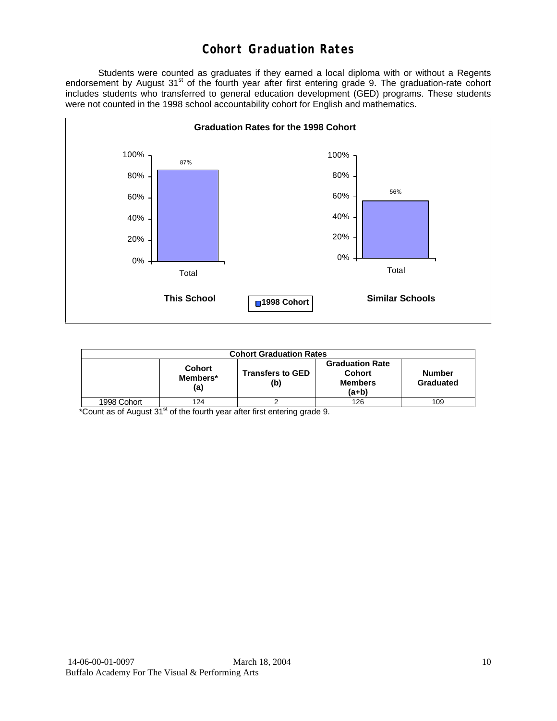# **Cohort Graduation Rates**

 Students were counted as graduates if they earned a local diploma with or without a Regents endorsement by August 31<sup>st</sup> of the fourth year after first entering grade 9. The graduation-rate cohort includes students who transferred to general education development (GED) programs. These students were not counted in the 1998 school accountability cohort for English and mathematics.



| <b>Cohort Graduation Rates</b> |                                  |                                |                                                                    |                            |  |  |  |  |  |
|--------------------------------|----------------------------------|--------------------------------|--------------------------------------------------------------------|----------------------------|--|--|--|--|--|
|                                | <b>Cohort</b><br>Members*<br>(a) | <b>Transfers to GED</b><br>(b) | <b>Graduation Rate</b><br><b>Cohort</b><br><b>Members</b><br>(a+b) | <b>Number</b><br>Graduated |  |  |  |  |  |
| 1998 Cohort                    | 124                              |                                | 126                                                                | 109                        |  |  |  |  |  |

\*Count as of August 31<sup>st</sup> of the fourth year after first entering grade 9.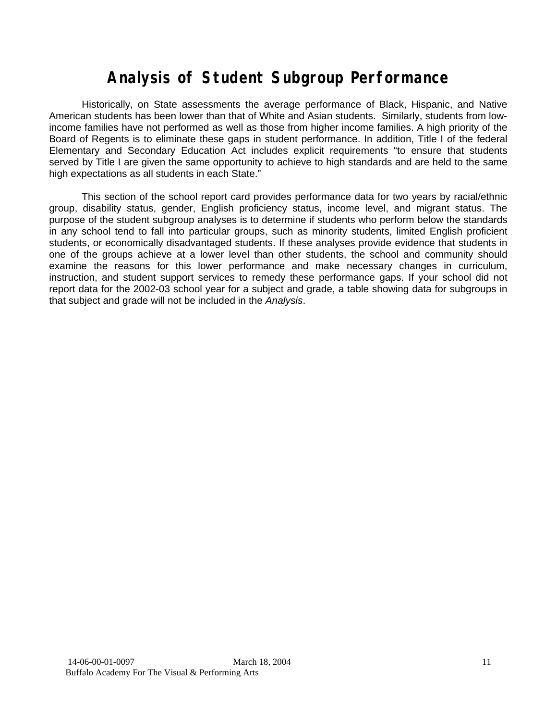# **Analysis of Student Subgroup Performance**

Historically, on State assessments the average performance of Black, Hispanic, and Native American students has been lower than that of White and Asian students. Similarly, students from lowincome families have not performed as well as those from higher income families. A high priority of the Board of Regents is to eliminate these gaps in student performance. In addition, Title I of the federal Elementary and Secondary Education Act includes explicit requirements "to ensure that students served by Title I are given the same opportunity to achieve to high standards and are held to the same high expectations as all students in each State."

This section of the school report card provides performance data for two years by racial/ethnic group, disability status, gender, English proficiency status, income level, and migrant status. The purpose of the student subgroup analyses is to determine if students who perform below the standards in any school tend to fall into particular groups, such as minority students, limited English proficient students, or economically disadvantaged students. If these analyses provide evidence that students in one of the groups achieve at a lower level than other students, the school and community should examine the reasons for this lower performance and make necessary changes in curriculum, instruction, and student support services to remedy these performance gaps. If your school did not report data for the 2002-03 school year for a subject and grade, a table showing data for subgroups in that subject and grade will not be included in the *Analysis*.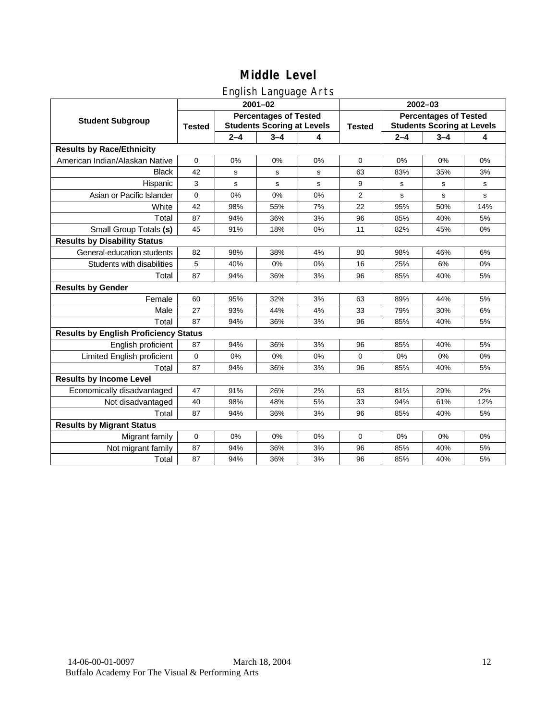## English Language Arts

|                                              |                                                                                    |         | ັ<br>$2001 - 02$ |               | $2002 - 03$                                                       |         |         |           |
|----------------------------------------------|------------------------------------------------------------------------------------|---------|------------------|---------------|-------------------------------------------------------------------|---------|---------|-----------|
| <b>Student Subgroup</b>                      | <b>Percentages of Tested</b><br><b>Students Scoring at Levels</b><br><b>Tested</b> |         |                  | <b>Tested</b> | <b>Percentages of Tested</b><br><b>Students Scoring at Levels</b> |         |         |           |
|                                              |                                                                                    | $2 - 4$ | $3 - 4$          | 4             |                                                                   | $2 - 4$ | $3 - 4$ | 4         |
| <b>Results by Race/Ethnicity</b>             |                                                                                    |         |                  |               |                                                                   |         |         |           |
| American Indian/Alaskan Native               | $\mathbf 0$                                                                        | 0%      | 0%               | 0%            | $\mathbf 0$                                                       | 0%      | 0%      | 0%        |
| <b>Black</b>                                 | 42                                                                                 | s       | s                | s             | 63                                                                | 83%     | 35%     | 3%        |
| Hispanic                                     | 3                                                                                  | s       | s                | s             | 9                                                                 | s       | s       | s         |
| Asian or Pacific Islander                    | $\mathbf 0$                                                                        | 0%      | 0%               | 0%            | $\overline{2}$                                                    | s       | s       | ${\tt s}$ |
| White                                        | 42                                                                                 | 98%     | 55%              | 7%            | 22                                                                | 95%     | 50%     | 14%       |
| Total                                        | 87                                                                                 | 94%     | 36%              | 3%            | 96                                                                | 85%     | 40%     | 5%        |
| Small Group Totals (s)                       | 45                                                                                 | 91%     | 18%              | 0%            | 11                                                                | 82%     | 45%     | 0%        |
| <b>Results by Disability Status</b>          |                                                                                    |         |                  |               |                                                                   |         |         |           |
| General-education students                   | 82                                                                                 | 98%     | 38%              | 4%            | 80                                                                | 98%     | 46%     | 6%        |
| Students with disabilities                   | 5                                                                                  | 40%     | 0%               | 0%            | 16                                                                | 25%     | 6%      | 0%        |
| Total                                        | 87                                                                                 | 94%     | 36%              | 3%            | 96                                                                | 85%     | 40%     | 5%        |
| <b>Results by Gender</b>                     |                                                                                    |         |                  |               |                                                                   |         |         |           |
| Female                                       | 60                                                                                 | 95%     | 32%              | 3%            | 63                                                                | 89%     | 44%     | 5%        |
| Male                                         | 27                                                                                 | 93%     | 44%              | 4%            | 33                                                                | 79%     | 30%     | 6%        |
| Total                                        | 87                                                                                 | 94%     | 36%              | 3%            | 96                                                                | 85%     | 40%     | 5%        |
| <b>Results by English Proficiency Status</b> |                                                                                    |         |                  |               |                                                                   |         |         |           |
| English proficient                           | 87                                                                                 | 94%     | 36%              | 3%            | 96                                                                | 85%     | 40%     | 5%        |
| Limited English proficient                   | $\mathbf 0$                                                                        | 0%      | 0%               | 0%            | $\mathbf 0$                                                       | 0%      | 0%      | 0%        |
| Total                                        | 87                                                                                 | 94%     | 36%              | 3%            | 96                                                                | 85%     | 40%     | 5%        |
| <b>Results by Income Level</b>               |                                                                                    |         |                  |               |                                                                   |         |         |           |
| Economically disadvantaged                   | 47                                                                                 | 91%     | 26%              | 2%            | 63                                                                | 81%     | 29%     | 2%        |
| Not disadvantaged                            | 40                                                                                 | 98%     | 48%              | 5%            | 33                                                                | 94%     | 61%     | 12%       |
| Total                                        | 87                                                                                 | 94%     | 36%              | 3%            | 96                                                                | 85%     | 40%     | 5%        |
| <b>Results by Migrant Status</b>             |                                                                                    |         |                  |               |                                                                   |         |         |           |
| Migrant family                               | $\mathbf 0$                                                                        | 0%      | 0%               | 0%            | 0                                                                 | 0%      | 0%      | 0%        |
| Not migrant family                           | 87                                                                                 | 94%     | 36%              | 3%            | 96                                                                | 85%     | 40%     | 5%        |
| Total                                        | 87                                                                                 | 94%     | 36%              | 3%            | 96                                                                | 85%     | 40%     | 5%        |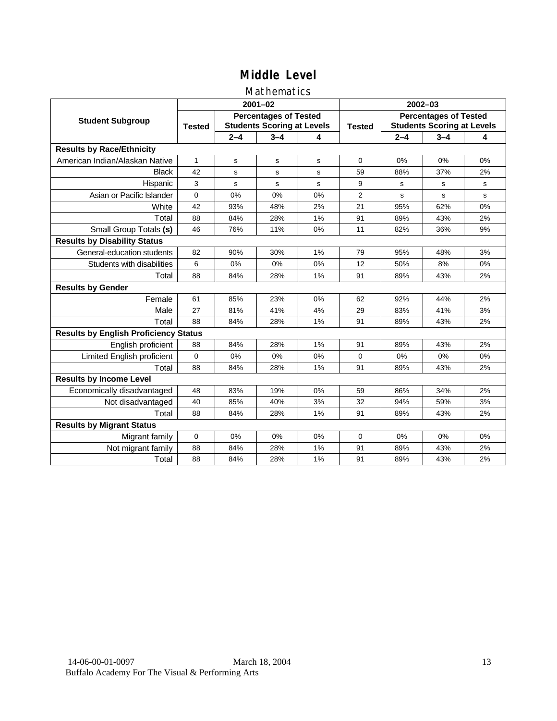### Mathematics

|                                              |                                                                                    |         | $2001 - 02$ |               | 2002-03                                                           |             |             |    |
|----------------------------------------------|------------------------------------------------------------------------------------|---------|-------------|---------------|-------------------------------------------------------------------|-------------|-------------|----|
| <b>Student Subgroup</b>                      | <b>Percentages of Tested</b><br><b>Students Scoring at Levels</b><br><b>Tested</b> |         |             | <b>Tested</b> | <b>Percentages of Tested</b><br><b>Students Scoring at Levels</b> |             |             |    |
|                                              |                                                                                    | $2 - 4$ | $3 - 4$     | 4             |                                                                   | $2 - 4$     | $3 - 4$     | 4  |
| <b>Results by Race/Ethnicity</b>             |                                                                                    |         |             |               |                                                                   |             |             |    |
| American Indian/Alaskan Native               | $\mathbf{1}$                                                                       | s       | s           | s             | $\Omega$                                                          | 0%          | 0%          | 0% |
| <b>Black</b>                                 | 42                                                                                 | s       | s           | s             | 59                                                                | 88%         | 37%         | 2% |
| Hispanic                                     | 3                                                                                  | s       | s           | s             | 9                                                                 | s           | s           | s  |
| Asian or Pacific Islander                    | 0                                                                                  | 0%      | 0%          | 0%            | $\overline{2}$                                                    | $\mathbf s$ | $\mathbf s$ | s  |
| White                                        | 42                                                                                 | 93%     | 48%         | 2%            | 21                                                                | 95%         | 62%         | 0% |
| Total                                        | 88                                                                                 | 84%     | 28%         | 1%            | 91                                                                | 89%         | 43%         | 2% |
| Small Group Totals (s)                       | 46                                                                                 | 76%     | 11%         | 0%            | 11                                                                | 82%         | 36%         | 9% |
| <b>Results by Disability Status</b>          |                                                                                    |         |             |               |                                                                   |             |             |    |
| General-education students                   | 82                                                                                 | 90%     | 30%         | 1%            | 79                                                                | 95%         | 48%         | 3% |
| Students with disabilities                   | 6                                                                                  | 0%      | 0%          | 0%            | 12                                                                | 50%         | 8%          | 0% |
| Total                                        | 88                                                                                 | 84%     | 28%         | 1%            | 91                                                                | 89%         | 43%         | 2% |
| <b>Results by Gender</b>                     |                                                                                    |         |             |               |                                                                   |             |             |    |
| Female                                       | 61                                                                                 | 85%     | 23%         | 0%            | 62                                                                | 92%         | 44%         | 2% |
| Male                                         | 27                                                                                 | 81%     | 41%         | 4%            | 29                                                                | 83%         | 41%         | 3% |
| Total                                        | 88                                                                                 | 84%     | 28%         | 1%            | 91                                                                | 89%         | 43%         | 2% |
| <b>Results by English Proficiency Status</b> |                                                                                    |         |             |               |                                                                   |             |             |    |
| English proficient                           | 88                                                                                 | 84%     | 28%         | 1%            | 91                                                                | 89%         | 43%         | 2% |
| <b>Limited English proficient</b>            | $\mathbf 0$                                                                        | 0%      | 0%          | 0%            | 0                                                                 | 0%          | 0%          | 0% |
| Total                                        | 88                                                                                 | 84%     | 28%         | 1%            | 91                                                                | 89%         | 43%         | 2% |
| <b>Results by Income Level</b>               |                                                                                    |         |             |               |                                                                   |             |             |    |
| Economically disadvantaged                   | 48                                                                                 | 83%     | 19%         | 0%            | 59                                                                | 86%         | 34%         | 2% |
| Not disadvantaged                            | 40                                                                                 | 85%     | 40%         | 3%            | 32                                                                | 94%         | 59%         | 3% |
| Total                                        | 88                                                                                 | 84%     | 28%         | 1%            | 91                                                                | 89%         | 43%         | 2% |
| <b>Results by Migrant Status</b>             |                                                                                    |         |             |               |                                                                   |             |             |    |
| Migrant family                               | $\mathbf 0$                                                                        | 0%      | 0%          | 0%            | 0                                                                 | 0%          | 0%          | 0% |
| Not migrant family                           | 88                                                                                 | 84%     | 28%         | 1%            | 91                                                                | 89%         | 43%         | 2% |
| Total                                        | 88                                                                                 | 84%     | 28%         | 1%            | 91                                                                | 89%         | 43%         | 2% |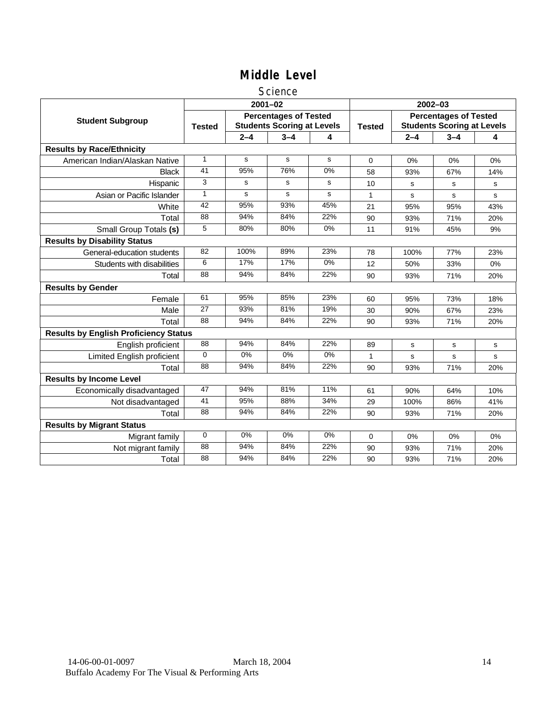### **Science**

|                                              | $2001 - 02$                                                                        |         |         |               | $2002 - 03$                                                       |             |             |             |
|----------------------------------------------|------------------------------------------------------------------------------------|---------|---------|---------------|-------------------------------------------------------------------|-------------|-------------|-------------|
| <b>Student Subgroup</b>                      | <b>Percentages of Tested</b><br><b>Students Scoring at Levels</b><br><b>Tested</b> |         |         | <b>Tested</b> | <b>Percentages of Tested</b><br><b>Students Scoring at Levels</b> |             |             |             |
|                                              |                                                                                    | $2 - 4$ | $3 - 4$ | 4             |                                                                   | $2 - 4$     | $3 - 4$     | 4           |
| <b>Results by Race/Ethnicity</b>             |                                                                                    |         |         |               |                                                                   |             |             |             |
| American Indian/Alaskan Native               | $\mathbf{1}$                                                                       | s       | s       | s             | $\mathbf 0$                                                       | 0%          | 0%          | 0%          |
| <b>Black</b>                                 | 41                                                                                 | 95%     | 76%     | 0%            | 58                                                                | 93%         | 67%         | 14%         |
| Hispanic                                     | 3                                                                                  | s       | s       | $\mathbf s$   | 10                                                                | s           | s           | s           |
| Asian or Pacific Islander                    | $\mathbf{1}$                                                                       | s       | s       | $\mathbf s$   | 1                                                                 | s           | s           | s           |
| White                                        | 42                                                                                 | 95%     | 93%     | 45%           | 21                                                                | 95%         | 95%         | 43%         |
| Total                                        | 88                                                                                 | 94%     | 84%     | 22%           | 90                                                                | 93%         | 71%         | 20%         |
| Small Group Totals (s)                       | 5                                                                                  | 80%     | 80%     | 0%            | 11                                                                | 91%         | 45%         | 9%          |
| <b>Results by Disability Status</b>          |                                                                                    |         |         |               |                                                                   |             |             |             |
| General-education students                   | 82                                                                                 | 100%    | 89%     | 23%           | 78                                                                | 100%        | 77%         | 23%         |
| Students with disabilities                   | 6                                                                                  | 17%     | 17%     | 0%            | 12                                                                | 50%         | 33%         | 0%          |
| Total                                        | 88                                                                                 | 94%     | 84%     | 22%           | 90                                                                | 93%         | 71%         | 20%         |
| <b>Results by Gender</b>                     |                                                                                    |         |         |               |                                                                   |             |             |             |
| Female                                       | 61                                                                                 | 95%     | 85%     | 23%           | 60                                                                | 95%         | 73%         | 18%         |
| Male                                         | 27                                                                                 | 93%     | 81%     | 19%           | 30                                                                | 90%         | 67%         | 23%         |
| Total                                        | 88                                                                                 | 94%     | 84%     | 22%           | 90                                                                | 93%         | 71%         | 20%         |
| <b>Results by English Proficiency Status</b> |                                                                                    |         |         |               |                                                                   |             |             |             |
| English proficient                           | 88                                                                                 | 94%     | 84%     | 22%           | 89                                                                | $\mathbf s$ | $\mathbf s$ | $\mathbf s$ |
| Limited English proficient                   | $\Omega$                                                                           | 0%      | 0%      | $0\%$         | 1                                                                 | s           | s           | $\mathbf s$ |
| Total                                        | 88                                                                                 | 94%     | 84%     | 22%           | 90                                                                | 93%         | 71%         | 20%         |
| <b>Results by Income Level</b>               |                                                                                    |         |         |               |                                                                   |             |             |             |
| Economically disadvantaged                   | 47                                                                                 | 94%     | 81%     | 11%           | 61                                                                | 90%         | 64%         | 10%         |
| Not disadvantaged                            | 41                                                                                 | 95%     | 88%     | 34%           | 29                                                                | 100%        | 86%         | 41%         |
| Total                                        | 88                                                                                 | 94%     | 84%     | 22%           | 90                                                                | 93%         | 71%         | 20%         |
| <b>Results by Migrant Status</b>             |                                                                                    |         |         |               |                                                                   |             |             |             |
| Migrant family                               | 0                                                                                  | 0%      | 0%      | 0%            | 0                                                                 | 0%          | 0%          | 0%          |
| Not migrant family                           | 88                                                                                 | 94%     | 84%     | 22%           | 90                                                                | 93%         | 71%         | 20%         |
| Total                                        | 88                                                                                 | 94%     | 84%     | 22%           | 90                                                                | 93%         | 71%         | 20%         |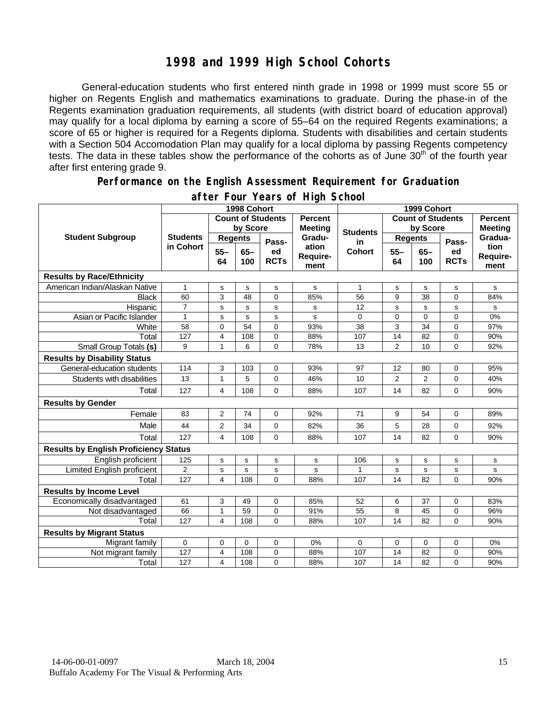### **1998 and 1999 High School Cohorts**

General-education students who first entered ninth grade in 1998 or 1999 must score 55 or higher on Regents English and mathematics examinations to graduate. During the phase-in of the Regents examination graduation requirements, all students (with district board of education approval) may qualify for a local diploma by earning a score of 55–64 on the required Regents examinations; a score of 65 or higher is required for a Regents diploma. Students with disabilities and certain students with a Section 504 Accomodation Plan may qualify for a local diploma by passing Regents competency tests. The data in these tables show the performance of the cohorts as of June 30<sup>th</sup> of the fourth year after first entering grade 9.

#### **Performance on the English Assessment Requirement for Graduation**

|                                              | 1998 Cohort                  |                |               |                   |                           | 1999 Cohort     |                          |                |                   |                                 |
|----------------------------------------------|------------------------------|----------------|---------------|-------------------|---------------------------|-----------------|--------------------------|----------------|-------------------|---------------------------------|
| <b>Student Subgroup</b>                      | <b>Count of Students</b>     |                |               | <b>Percent</b>    |                           |                 | <b>Count of Students</b> |                |                   | <b>Percent</b>                  |
|                                              | <b>Students</b><br>in Cohort | by Score       |               |                   | <b>Meeting</b>            | <b>Students</b> | by Score                 |                | <b>Meeting</b>    |                                 |
|                                              |                              | <b>Regents</b> |               | Pass-             | Gradu-                    | in              | <b>Regents</b>           |                | Pass-             | Gradua-                         |
|                                              |                              | $55 -$<br>64   | $65 -$<br>100 | ed<br><b>RCTs</b> | ation<br>Require-<br>ment | <b>Cohort</b>   | $55 -$<br>64             | $65 -$<br>100  | ed<br><b>RCTs</b> | tion<br><b>Require-</b><br>ment |
| <b>Results by Race/Ethnicity</b>             |                              |                |               |                   |                           |                 |                          |                |                   |                                 |
| American Indian/Alaskan Native               | $\mathbf{1}$                 | $\mathbf s$    | $\mathbf s$   | s                 | s                         | $\mathbf{1}$    | s                        | s              | s                 | $\mathbf s$                     |
| <b>Black</b>                                 | 60                           | 3              | 48            | $\overline{0}$    | 85%                       | 56              | 9                        | 38             | $\overline{0}$    | 84%                             |
| Hispanic                                     | $\overline{7}$               | s              | s             | s                 | s                         | 12              | s                        | s              | s                 | s                               |
| Asian or Pacific Islander                    | $\mathbf{1}$                 | s              | s             | s                 | s                         | $\mathbf 0$     | 0                        | $\overline{0}$ | 0                 | 0%                              |
| White                                        | 58                           | $\mathbf 0$    | 54            | 0                 | 93%                       | 38              | 3                        | 34             | 0                 | 97%                             |
| Total                                        | 127                          | 4              | 108           | 0                 | 88%                       | 107             | $\overline{14}$          | 82             | 0                 | 90%                             |
| Small Group Totals (s)                       | 9                            | $\mathbf{1}$   | 6             | $\overline{0}$    | 78%                       | 13              | $\overline{2}$           | 10             | $\overline{0}$    | 92%                             |
| <b>Results by Disability Status</b>          |                              |                |               |                   |                           |                 |                          |                |                   |                                 |
| General-education students                   | 114                          | 3              | 103           | 0                 | 93%                       | 97              | 12                       | 80             | 0                 | 95%                             |
| Students with disabilities                   | 13                           | $\mathbf{1}$   | 5             | 0                 | 46%                       | 10              | $\overline{2}$           | $\overline{2}$ | 0                 | 40%                             |
| Total                                        | 127                          | 4              | 108           | 0                 | 88%                       | 107             | 14                       | 82             | $\mathbf 0$       | 90%                             |
| <b>Results by Gender</b>                     |                              |                |               |                   |                           |                 |                          |                |                   |                                 |
| Female                                       | 83                           | $\overline{2}$ | 74            | $\overline{0}$    | 92%                       | 71              | 9                        | 54             | $\Omega$          | 89%                             |
| Male                                         | 44                           | 2              | 34            | $\Omega$          | 82%                       | 36              | 5                        | 28             | 0                 | 92%                             |
| Total                                        | 127                          | 4              | 108           | 0                 | 88%                       | 107             | 14                       | 82             | $\mathbf 0$       | 90%                             |
| <b>Results by English Proficiency Status</b> |                              |                |               |                   |                           |                 |                          |                |                   |                                 |
| English proficient                           | 125                          | s              | ${\bf s}$     | s                 | s                         | 106             | s                        | s              | s                 | s                               |
| Limited English proficient                   | 2                            | s              | $\mathbf s$   | s                 | s                         | 1               | s                        | s              | s                 | s                               |
| Total                                        | 127                          | 4              | 108           | $\Omega$          | 88%                       | 107             | 14                       | 82             | $\Omega$          | 90%                             |
| <b>Results by Income Level</b>               |                              |                |               |                   |                           |                 |                          |                |                   |                                 |
| Economically disadvantaged                   | 61                           | 3              | 49            | 0                 | 85%                       | 52              | 6                        | 37             | 0                 | 83%                             |
| Not disadvantaged                            | 66                           | $\mathbf{1}$   | 59            | 0                 | 91%                       | 55              | 8                        | 45             | 0                 | 96%                             |
| Total                                        | 127                          | 4              | 108           | $\overline{0}$    | 88%                       | 107             | 14                       | 82             | $\overline{0}$    | 90%                             |
| <b>Results by Migrant Status</b>             |                              |                |               |                   |                           |                 |                          |                |                   |                                 |
| Migrant family                               | $\pmb{0}$                    | $\mathbf 0$    | $\mathbf 0$   | $\mathbf 0$       | 0%                        | 0               | 0                        | 0              | 0                 | 0%                              |
| Not migrant family                           | 127                          | 4              | 108           | $\pmb{0}$         | 88%                       | 107             | 14                       | 82             | 0                 | 90%                             |
| Total                                        | 127                          | 4              | 108           | $\mathbf 0$       | 88%                       | 107             | 14                       | 82             | 0                 | 90%                             |

### **after Four Years of High School**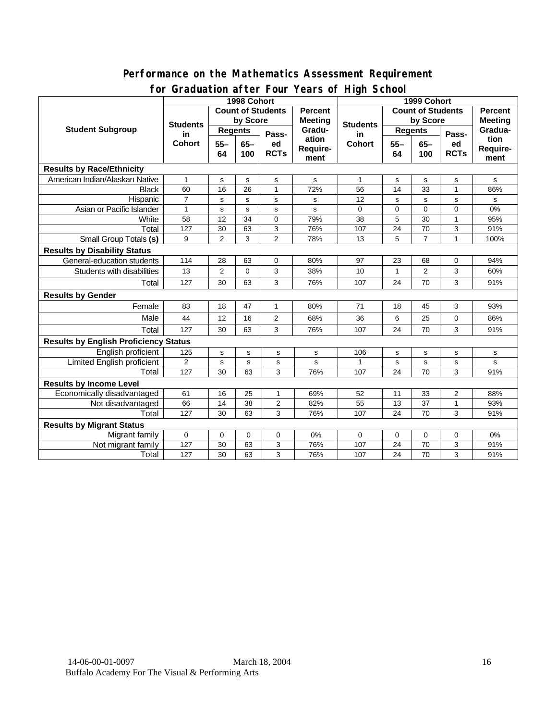### **Performance on the Mathematics Assessment Requirement for Graduation after Four Years of High School**

|                                              | st addation at toll todil todilo of the prison of<br>1998 Cohort |                                            |             |                         |                          | 1999 Cohort           |                       |                |                |                |
|----------------------------------------------|------------------------------------------------------------------|--------------------------------------------|-------------|-------------------------|--------------------------|-----------------------|-----------------------|----------------|----------------|----------------|
| <b>Student Subgroup</b>                      |                                                                  | <b>Count of Students</b><br><b>Percent</b> |             |                         | <b>Count of Students</b> |                       |                       |                | <b>Percent</b> |                |
|                                              | <b>Students</b><br>in<br><b>Cohort</b>                           | by Score                                   |             |                         | <b>Meeting</b>           |                       | by Score              |                |                | <b>Meeting</b> |
|                                              |                                                                  | <b>Regents</b>                             |             | Pass-                   | Gradu-                   | <b>Students</b><br>in | <b>Regents</b>        |                | Pass-          | Gradua-        |
|                                              |                                                                  | $55 -$                                     | $65-$       | ed                      | ation                    | <b>Cohort</b>         | $55 -$<br>$65-$<br>64 | ed             | tion           |                |
|                                              |                                                                  | 64                                         | 100         | <b>RCTs</b>             | Require-                 |                       |                       | 100            | <b>RCTs</b>    | Require-       |
| <b>Results by Race/Ethnicity</b>             |                                                                  |                                            |             |                         | ment                     |                       |                       |                |                | ment           |
|                                              |                                                                  |                                            |             |                         |                          |                       |                       |                |                |                |
| American Indian/Alaskan Native               | $\mathbf{1}$                                                     | s                                          | s           | s                       | s                        | $\mathbf{1}$          | s                     | s              | s              | s              |
| <b>Black</b>                                 | 60                                                               | 16                                         | 26          | $\mathbf{1}$            | 72%                      | 56                    | 14                    | 33             | $\mathbf{1}$   | 86%            |
| Hispanic                                     | $\overline{7}$                                                   | s                                          | s           | s                       | s                        | 12                    | s                     | s              | s              | s              |
| Asian or Pacific Islander                    | $\mathbf{1}$                                                     | $\mathbf s$                                | s           | s                       | s                        | $\Omega$              | 0                     | $\Omega$       | $\Omega$       | 0%             |
| White                                        | 58                                                               | 12                                         | 34          | $\Omega$                | 79%                      | 38                    | 5                     | 30             | $\mathbf{1}$   | 95%            |
| Total                                        | 127                                                              | 30                                         | 63          | 3                       | 76%                      | 107                   | 24                    | 70             | 3              | 91%            |
| Small Group Totals (s)                       | 9                                                                | $\overline{2}$                             | 3           | $\overline{2}$          | 78%                      | 13                    | 5                     | $\overline{7}$ | $\mathbf{1}$   | 100%           |
| <b>Results by Disability Status</b>          |                                                                  |                                            |             |                         |                          |                       |                       |                |                |                |
| General-education students                   | 114                                                              | 28                                         | 63          | 0                       | 80%                      | 97                    | 23                    | 68             | 0              | 94%            |
| Students with disabilities                   | 13                                                               | 2                                          | $\Omega$    | 3                       | 38%                      | 10                    | 1                     | 2              | 3              | 60%            |
| Total                                        | 127                                                              | 30                                         | 63          | 3                       | 76%                      | 107                   | 24                    | 70             | 3              | 91%            |
| <b>Results by Gender</b>                     |                                                                  |                                            |             |                         |                          |                       |                       |                |                |                |
| Female                                       | 83                                                               | 18                                         | 47          | $\mathbf{1}$            | 80%                      | 71                    | 18                    | 45             | 3              | 93%            |
| Male                                         | 44                                                               | 12                                         | 16          | $\overline{2}$          | 68%                      | 36                    | 6                     | 25             | $\Omega$       | 86%            |
| Total                                        | 127                                                              | 30                                         | 63          | 3                       | 76%                      | 107                   | 24                    | 70             | 3              | 91%            |
| <b>Results by English Proficiency Status</b> |                                                                  |                                            |             |                         |                          |                       |                       |                |                |                |
| English proficient                           | 125                                                              | s                                          | s           | s                       | $\mathbf s$              | 106                   | s                     | $\mathbf s$    | s              | s              |
| <b>Limited English proficient</b>            | $\overline{2}$                                                   | s                                          | $\mathbf s$ | s                       | $\sf s$                  | $\mathbf{1}$          | s                     | s              | s              | s              |
| Total                                        | 127                                                              | 30                                         | 63          | 3                       | 76%                      | 107                   | 24                    | 70             | 3              | 91%            |
| <b>Results by Income Level</b>               |                                                                  |                                            |             |                         |                          |                       |                       |                |                |                |
| Economically disadvantaged                   | 61                                                               | 16                                         | 25          | 1                       | 69%                      | 52                    | 11                    | 33             | $\overline{c}$ | 88%            |
| Not disadvantaged                            | 66                                                               | 14                                         | 38          | $\overline{\mathbf{c}}$ | 82%                      | 55                    | 13                    | 37             | $\mathbf{1}$   | 93%            |
| Total                                        | 127                                                              | 30                                         | 63          | 3                       | 76%                      | 107                   | 24                    | 70             | 3              | 91%            |
| <b>Results by Migrant Status</b>             |                                                                  |                                            |             |                         |                          |                       |                       |                |                |                |
| Migrant family                               | $\mathbf 0$                                                      | 0                                          | 0           | 0                       | 0%                       | 0                     | 0                     | $\mathbf 0$    | 0              | 0%             |
| Not migrant family                           | 127                                                              | 30                                         | 63          | 3                       | 76%                      | 107                   | 24                    | 70             | 3              | 91%            |
| Total                                        | 127                                                              | 30                                         | 63          | 3                       | 76%                      | 107                   | 24                    | 70             | 3              | 91%            |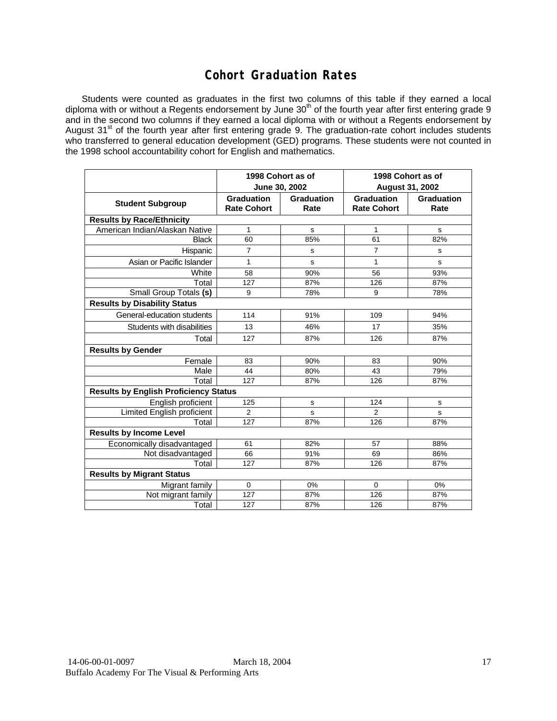### **Cohort Graduation Rates**

Students were counted as graduates in the first two columns of this table if they earned a local diploma with or without a Regents endorsement by June 30<sup>th</sup> of the fourth year after first entering grade 9 and in the second two columns if they earned a local diploma with or without a Regents endorsement by August 31<sup>st</sup> of the fourth year after first entering grade 9. The graduation-rate cohort includes students who transferred to general education development (GED) programs. These students were not counted in the 1998 school accountability cohort for English and mathematics.

|                                              | 1998 Cohort as of                       |                    | 1998 Cohort as of                       |                    |  |  |  |  |  |
|----------------------------------------------|-----------------------------------------|--------------------|-----------------------------------------|--------------------|--|--|--|--|--|
|                                              | June 30, 2002                           |                    | <b>August 31, 2002</b>                  |                    |  |  |  |  |  |
| <b>Student Subgroup</b>                      | <b>Graduation</b><br><b>Rate Cohort</b> | Graduation<br>Rate | <b>Graduation</b><br><b>Rate Cohort</b> | Graduation<br>Rate |  |  |  |  |  |
| <b>Results by Race/Ethnicity</b>             |                                         |                    |                                         |                    |  |  |  |  |  |
| American Indian/Alaskan Native               | 1                                       | s                  | 1                                       | s                  |  |  |  |  |  |
| <b>Black</b>                                 | 60                                      | 85%                | 61                                      | 82%                |  |  |  |  |  |
| Hispanic                                     | $\overline{7}$                          | s                  | $\overline{7}$                          | s                  |  |  |  |  |  |
| Asian or Pacific Islander                    | 1                                       | s                  | 1                                       | s                  |  |  |  |  |  |
| White                                        | 58                                      | 90%                | 56                                      | 93%                |  |  |  |  |  |
| Total                                        | 127                                     | 87%                | 126                                     | 87%                |  |  |  |  |  |
| Small Group Totals (s)                       | 9                                       | 78%                | 9                                       | 78%                |  |  |  |  |  |
| <b>Results by Disability Status</b>          |                                         |                    |                                         |                    |  |  |  |  |  |
| General-education students                   | 114                                     | 91%                | 109                                     | 94%                |  |  |  |  |  |
| Students with disabilities                   | 13                                      | 46%                | 17                                      | 35%                |  |  |  |  |  |
| Total                                        | 127                                     | 87%                | 126                                     | 87%                |  |  |  |  |  |
| <b>Results by Gender</b>                     |                                         |                    |                                         |                    |  |  |  |  |  |
| Female                                       | 83                                      | 90%                | 83                                      | 90%                |  |  |  |  |  |
| Male                                         | 44                                      | 80%                | 43                                      | 79%                |  |  |  |  |  |
| Total                                        | 127                                     | 87%                | 126                                     | 87%                |  |  |  |  |  |
| <b>Results by English Proficiency Status</b> |                                         |                    |                                         |                    |  |  |  |  |  |
| English proficient                           | 125                                     | s                  | 124                                     | s                  |  |  |  |  |  |
| Limited English proficient                   | $\overline{2}$                          | s                  | 2                                       | s                  |  |  |  |  |  |
| Total                                        | 127                                     | 87%                | 126                                     | 87%                |  |  |  |  |  |
| <b>Results by Income Level</b>               |                                         |                    |                                         |                    |  |  |  |  |  |
| Economically disadvantaged                   | 61                                      | 82%                | 57                                      | 88%                |  |  |  |  |  |
| Not disadvantaged                            | 66                                      | 91%                | 69                                      | 86%                |  |  |  |  |  |
| Total                                        | 127                                     | 87%                | 126                                     | 87%                |  |  |  |  |  |
| <b>Results by Migrant Status</b>             |                                         |                    |                                         |                    |  |  |  |  |  |
| Migrant family                               | 0                                       | 0%                 | 0                                       | 0%                 |  |  |  |  |  |
| Not migrant family                           | 127                                     | 87%                | 126                                     | 87%                |  |  |  |  |  |
| Total                                        | 127                                     | 87%                | 126                                     | 87%                |  |  |  |  |  |